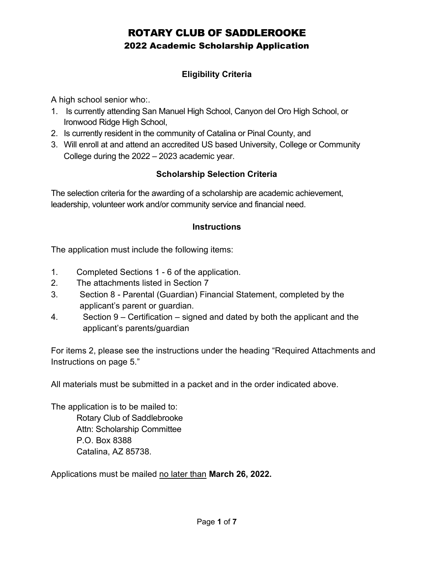## Eligibility Criteria

A high school senior who:.

- 1. Is currently attending San Manuel High School, Canyon del Oro High School, or Ironwood Ridge High School,
- 2. Is currently resident in the community of Catalina or Pinal County, and
- 3. Will enroll at and attend an accredited US based University, College or Community College during the 2022 – 2023 academic year.

## Scholarship Selection Criteria

The selection criteria for the awarding of a scholarship are academic achievement, leadership, volunteer work and/or community service and financial need.

## **Instructions**

The application must include the following items:

- 1. Completed Sections 1 6 of the application.
- 2. The attachments listed in Section 7
- 3. Section 8 Parental (Guardian) Financial Statement, completed by the applicant's parent or guardian.
- 4. Section 9 Certification signed and dated by both the applicant and the applicant's parents/guardian

For items 2, please see the instructions under the heading "Required Attachments and Instructions on page 5."

All materials must be submitted in a packet and in the order indicated above.

The application is to be mailed to: Rotary Club of Saddlebrooke Attn: Scholarship Committee P.O. Box 8388 Catalina, AZ 85738.

Applications must be mailed no later than March 26, 2022.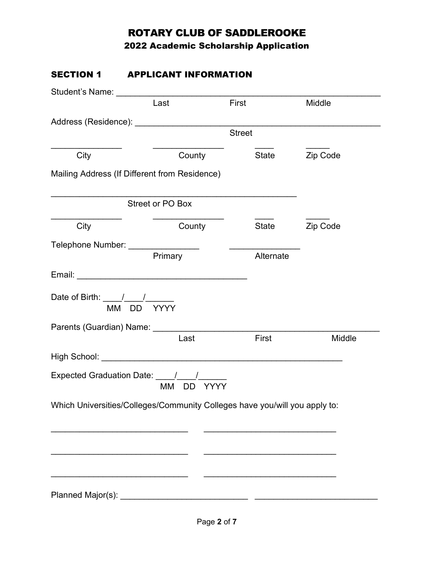# ROTARY CLUB OF SADDLEROOKE

2022 Academic Scholarship Application

| <b>SECTION 1</b>                  | <b>APPLICANT INFORMATION</b>                                                                                                                                                                                                   |                                                                                                                       |                       |
|-----------------------------------|--------------------------------------------------------------------------------------------------------------------------------------------------------------------------------------------------------------------------------|-----------------------------------------------------------------------------------------------------------------------|-----------------------|
|                                   |                                                                                                                                                                                                                                |                                                                                                                       |                       |
|                                   | Last                                                                                                                                                                                                                           | First                                                                                                                 | Middle                |
|                                   |                                                                                                                                                                                                                                |                                                                                                                       |                       |
|                                   |                                                                                                                                                                                                                                | <b>Street</b>                                                                                                         |                       |
| City                              | County                                                                                                                                                                                                                         | State                                                                                                                 | Zip Code              |
|                                   | Mailing Address (If Different from Residence)                                                                                                                                                                                  |                                                                                                                       |                       |
|                                   | <b>Street or PO Box</b>                                                                                                                                                                                                        |                                                                                                                       |                       |
| City                              | County                                                                                                                                                                                                                         |                                                                                                                       | State <b>Zip Code</b> |
|                                   |                                                                                                                                                                                                                                |                                                                                                                       |                       |
|                                   | Primary                                                                                                                                                                                                                        | Alternate                                                                                                             |                       |
|                                   |                                                                                                                                                                                                                                |                                                                                                                       |                       |
|                                   |                                                                                                                                                                                                                                |                                                                                                                       |                       |
| Parents (Guardian) Name: ________ |                                                                                                                                                                                                                                |                                                                                                                       |                       |
|                                   | Last                                                                                                                                                                                                                           | First                                                                                                                 | Middle                |
|                                   | High School: New York School: New York School: New York School: New York School: New York School: New York School: New York School: New York School: New York School: New York School: New York School: New York School: New Y |                                                                                                                       |                       |
|                                   | Expected Graduation Date: _____/_____/__________<br>MM DD YYYY                                                                                                                                                                 |                                                                                                                       |                       |
|                                   | Which Universities/Colleges/Community Colleges have you/will you apply to:                                                                                                                                                     |                                                                                                                       |                       |
|                                   |                                                                                                                                                                                                                                |                                                                                                                       |                       |
|                                   |                                                                                                                                                                                                                                |                                                                                                                       |                       |
|                                   |                                                                                                                                                                                                                                |                                                                                                                       |                       |
|                                   |                                                                                                                                                                                                                                | <u> 1989 - Johann John Stone, mars eta industrial eta industrial eta industrial eta industrial eta industrial eta</u> |                       |
|                                   |                                                                                                                                                                                                                                |                                                                                                                       |                       |
|                                   |                                                                                                                                                                                                                                |                                                                                                                       |                       |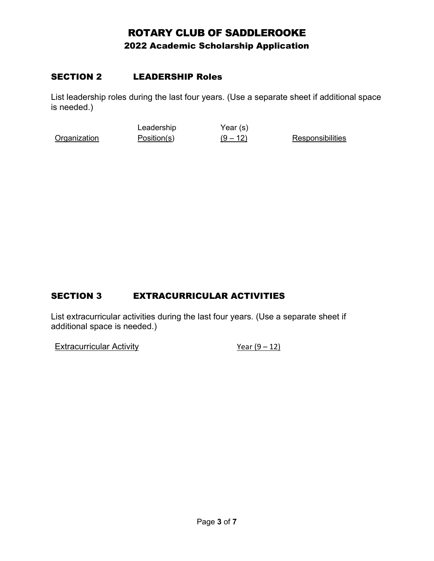### SECTION 2 LEADERSHIP Roles

List leadership roles during the last four years. (Use a separate sheet if additional space is needed.)

**Organization** Leadership Position(s) Year (s)  $(9 - 12)$  Responsibilities

## SECTION 3 EXTRACURRICULAR ACTIVITIES

List extracurricular activities during the last four years. (Use a separate sheet if additional space is needed.)

Extracurricular Activity  $\frac{Year(9-12)}{1}$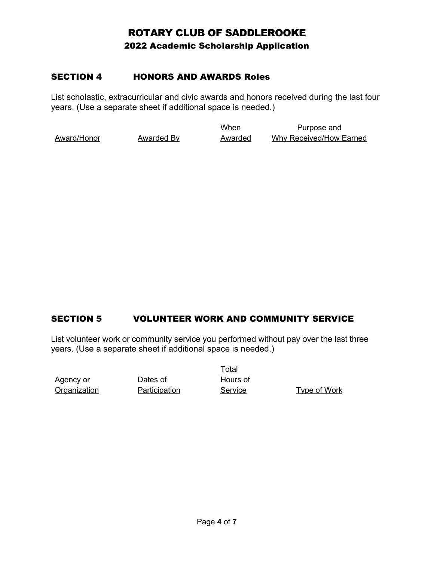### SECTION 4 HONORS AND AWARDS Roles

List scholastic, extracurricular and civic awards and honors received during the last four years. (Use a separate sheet if additional space is needed.)

Award/Honor Awarded By When Awarded Purpose and Why Received/How Earned

## SECTION 5 VOLUNTEER WORK AND COMMUNITY SERVICE

List volunteer work or community service you performed without pay over the last three years. (Use a separate sheet if additional space is needed.)

Agency or **Organization**  Dates of **Participation**  Total Hours of

Service Type of Work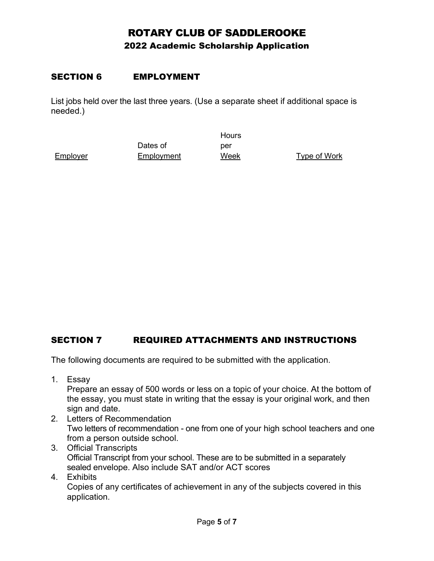### SECTION 6 EMPLOYMENT

List jobs held over the last three years. (Use a separate sheet if additional space is needed.)

Employer

Dates of Employment **Hours** per

Week Type of Work

## SECTION 7 REQUIRED ATTACHMENTS AND INSTRUCTIONS

The following documents are required to be submitted with the application.

1. Essay

Prepare an essay of 500 words or less on a topic of your choice. At the bottom of the essay, you must state in writing that the essay is your original work, and then sign and date.

- 2. Letters of Recommendation Two letters of recommendation - one from one of your high school teachers and one from a person outside school.
- 3. Official Transcripts Official Transcript from your school. These are to be submitted in a separately sealed envelope. Also include SAT and/or ACT scores
- 4. Exhibits

Copies of any certificates of achievement in any of the subjects covered in this application.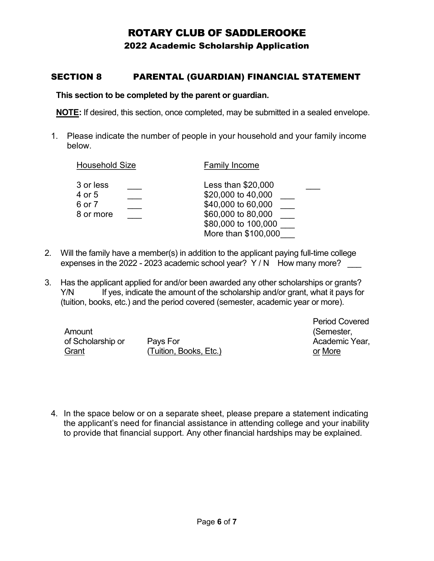## ROTARY CLUB OF SADDLEROOKE

2022 Academic Scholarship Application

### SECTION 8 PARENTAL (GUARDIAN) FINANCIAL STATEMENT

#### This section to be completed by the parent or guardian.

NOTE: If desired, this section, once completed, may be submitted in a sealed envelope.

1. Please indicate the number of people in your household and your family income below.

| <b>Household Size</b>                      | <b>Family Income</b>                                                                                                               |
|--------------------------------------------|------------------------------------------------------------------------------------------------------------------------------------|
| 3 or less<br>4 or 5<br>6 or 7<br>8 or more | Less than \$20,000<br>\$20,000 to 40,000<br>\$40,000 to 60,000<br>\$60,000 to 80,000<br>\$80,000 to 100,000<br>More than \$100,000 |

- 2. Will the family have a member(s) in addition to the applicant paying full-time college expenses in the 2022 - 2023 academic school year?  $Y/N$  How many more?
- 3. Has the applicant applied for and/or been awarded any other scholarships or grants? Y/N If yes, indicate the amount of the scholarship and/or grant, what it pays for (tuition, books, etc.) and the period covered (semester, academic year or more).

| Amount            |                        |
|-------------------|------------------------|
| of Scholarship or | Pays For               |
| Grant             | (Tuition, Books, Etc.) |

Period Covered (Semester, Academic Year, or More

4. In the space below or on a separate sheet, please prepare a statement indicating the applicant's need for financial assistance in attending college and your inability to provide that financial support. Any other financial hardships may be explained.